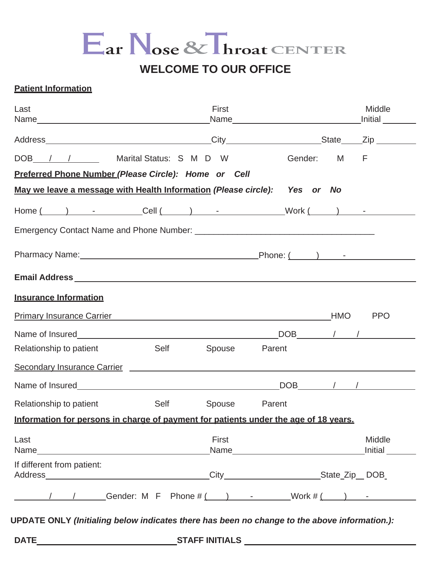## Ear Nose & Throat CENTER

## **WELCOME TO OUR OFFICE**

## **Patient Information**

| Last                                                                                                                  |                  | First              |        |             | Middle<br>Initial                                                                                                                                                                                                                                                                                                                                                                           |
|-----------------------------------------------------------------------------------------------------------------------|------------------|--------------------|--------|-------------|---------------------------------------------------------------------------------------------------------------------------------------------------------------------------------------------------------------------------------------------------------------------------------------------------------------------------------------------------------------------------------------------|
|                                                                                                                       |                  |                    |        |             |                                                                                                                                                                                                                                                                                                                                                                                             |
| DOB / / Marital Status: S M D W                                                                                       |                  |                    |        | Gender: M F |                                                                                                                                                                                                                                                                                                                                                                                             |
| Preferred Phone Number (Please Circle): Home or Cell                                                                  |                  |                    |        |             |                                                                                                                                                                                                                                                                                                                                                                                             |
| May we leave a message with Health Information (Please circle): Yes or No                                             |                  |                    |        |             |                                                                                                                                                                                                                                                                                                                                                                                             |
|                                                                                                                       |                  |                    |        |             |                                                                                                                                                                                                                                                                                                                                                                                             |
|                                                                                                                       |                  |                    |        |             |                                                                                                                                                                                                                                                                                                                                                                                             |
|                                                                                                                       |                  |                    |        |             |                                                                                                                                                                                                                                                                                                                                                                                             |
|                                                                                                                       |                  |                    |        |             |                                                                                                                                                                                                                                                                                                                                                                                             |
| <b>Insurance Information</b>                                                                                          |                  |                    |        |             |                                                                                                                                                                                                                                                                                                                                                                                             |
| <b>Primary Insurance Carrier</b>                                                                                      |                  | <u>HMO</u>         |        |             | <b>PPO</b>                                                                                                                                                                                                                                                                                                                                                                                  |
|                                                                                                                       |                  |                    |        |             | $\begin{picture}(180,10) \put(0,0){\dashbox{0.5}(10,0){ }} \put(15,0){\circle{10}} \put(15,0){\circle{10}} \put(15,0){\circle{10}} \put(15,0){\circle{10}} \put(15,0){\circle{10}} \put(15,0){\circle{10}} \put(15,0){\circle{10}} \put(15,0){\circle{10}} \put(15,0){\circle{10}} \put(15,0){\circle{10}} \put(15,0){\circle{10}} \put(15,0){\circle{10}} \put(15,0){\circle{10}} \put(15$ |
| Relationship to patient                                                                                               | <b>Self</b> Self | Spouse             | Parent |             |                                                                                                                                                                                                                                                                                                                                                                                             |
| Secondary Insurance Carrier <b>Carrier Access 1986</b> and 2007 and 2008 and 2008 and 2008 and 2008 and 2008 and 2008 |                  |                    |        |             |                                                                                                                                                                                                                                                                                                                                                                                             |
| Name of Insured <b>Name of Insured</b>                                                                                |                  |                    |        |             | $DOB$ / /                                                                                                                                                                                                                                                                                                                                                                                   |
| Relationship to patient                                                                                               |                  | Self Spouse Parent |        |             |                                                                                                                                                                                                                                                                                                                                                                                             |
| Information for persons in charge of payment for patients under the age of 18 years.                                  |                  |                    |        |             |                                                                                                                                                                                                                                                                                                                                                                                             |
| Last                                                                                                                  |                  | <b>First</b>       |        |             | Middle<br>Initial                                                                                                                                                                                                                                                                                                                                                                           |
| If different from patient:                                                                                            |                  |                    |        |             |                                                                                                                                                                                                                                                                                                                                                                                             |
| / / Gender: M F Phone # ( ) - Work # ( ) -                                                                            |                  |                    |        |             |                                                                                                                                                                                                                                                                                                                                                                                             |

**UPDATE ONLY** *(Initialing below indicates there has been no change to the above information.):*